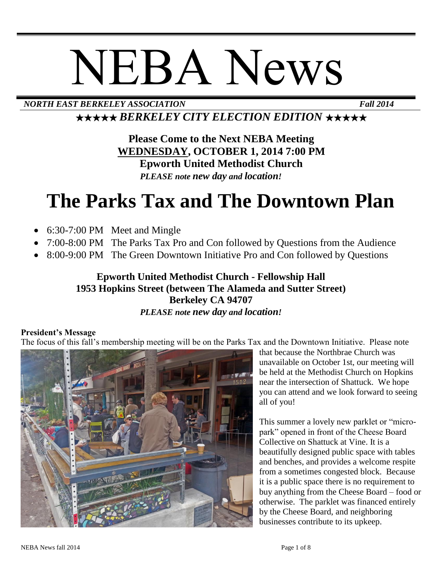# NEBA News

*NORTH EAST BERKELEY ASSOCIATION Fall 2014*

★★★★★ *BERKELEY CITY ELECTION EDITION* ★★★★★

**Please Come to the Next NEBA Meeting WEDNESDAY, OCTOBER 1, 2014 7:00 PM Epworth United Methodist Church** *PLEASE note new day and location!*

# **The Parks Tax and The Downtown Plan**

- 6:30-7:00 PM Meet and Mingle
- 7:00-8:00 PM The Parks Tax Pro and Con followed by Questions from the Audience
- 8:00-9:00 PM The Green Downtown Initiative Pro and Con followed by Questions

#### **Epworth United Methodist Church - Fellowship Hall 1953 Hopkins Street (between The Alameda and Sutter Street) Berkeley CA 94707** *PLEASE note new day and location!*

#### **President's Message**

The focus of this fall's membership meeting will be on the Parks Tax and the Downtown Initiative. Please note



that because the Northbrae Church was unavailable on October 1st, our meeting will be held at the Methodist Church on Hopkins near the intersection of Shattuck. We hope you can attend and we look forward to seeing all of you!

This summer a lovely new parklet or "micropark" opened in front of the Cheese Board Collective on Shattuck at Vine. It is a beautifully designed public space with tables and benches, and provides a welcome respite from a sometimes congested block. Because it is a public space there is no requirement to buy anything from the Cheese Board – food or otherwise. The parklet was financed entirely by the Cheese Board, and neighboring businesses contribute to its upkeep.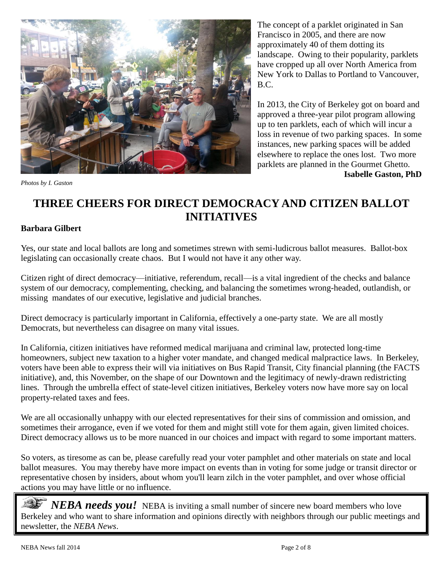

*Photos by I. Gaston*

The concept of a parklet originated in San Francisco in 2005, and there are now approximately 40 of them dotting its landscape. Owing to their popularity, parklets have cropped up all over North America from New York to Dallas to Portland to Vancouver, B.C.

In 2013, the City of Berkeley got on board and approved a three-year pilot program allowing up to ten parklets, each of which will incur a loss in revenue of two parking spaces. In some instances, new parking spaces will be added elsewhere to replace the ones lost. Two more parklets are planned in the Gourmet Ghetto. t**Isabelle Gaston, PhD**

# **THREE CHEERS FOR DIRECT DEMOCRACY AND CITIZEN BALLOT INITIATIVES**

#### **Barbara Gilbert**

Yes, our state and local ballots are long and sometimes strewn with semi-ludicrous ballot measures. Ballot-box legislating can occasionally create chaos. But I would not have it any other way.

Citizen right of direct democracy—initiative, referendum, recall—is a vital ingredient of the checks and balance system of our democracy, complementing, checking, and balancing the sometimes wrong-headed, outlandish, or missing mandates of our executive, legislative and judicial branches.

Direct democracy is particularly important in California, effectively a one-party state. We are all mostly Democrats, but nevertheless can disagree on many vital issues.

In California, citizen initiatives have reformed medical marijuana and criminal law, protected long-time homeowners, subject new taxation to a higher voter mandate, and changed medical malpractice laws. In Berkeley, voters have been able to express their will via initiatives on Bus Rapid Transit, City financial planning (the FACTS initiative), and, this November, on the shape of our Downtown and the legitimacy of newly-drawn redistricting lines. Through the umbrella effect of state-level citizen initiatives, Berkeley voters now have more say on local property-related taxes and fees.

We are all occasionally unhappy with our elected representatives for their sins of commission and omission, and sometimes their arrogance, even if we voted for them and might still vote for them again, given limited choices. Direct democracy allows us to be more nuanced in our choices and impact with regard to some important matters.

So voters, as tiresome as can be, please carefully read your voter pamphlet and other materials on state and local ballot measures. You may thereby have more impact on events than in voting for some judge or transit director or representative chosen by insiders, about whom you'll learn zilch in the voter pamphlet, and over whose official actions you may have little or no influence.

*NEBA needs you!* NEBA is inviting a small number of sincere new board members who love Berkeley and who want to share information and opinions directly with neighbors through our public meetings and newsletter, the *NEBA News*.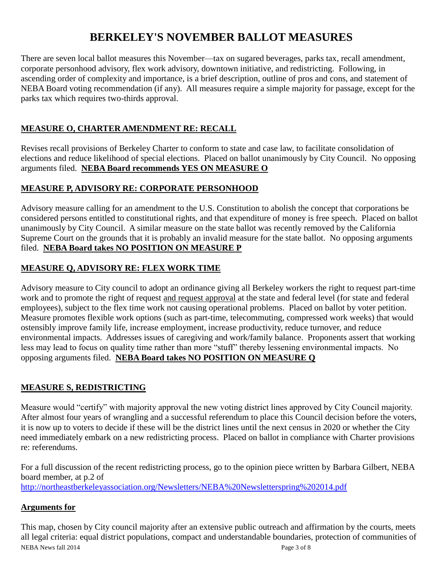# **BERKELEY'S NOVEMBER BALLOT MEASURES**

There are seven local ballot measures this November—tax on sugared beverages, parks tax, recall amendment, corporate personhood advisory, flex work advisory, downtown initiative, and redistricting. Following, in ascending order of complexity and importance, is a brief description, outline of pros and cons, and statement of NEBA Board voting recommendation (if any). All measures require a simple majority for passage, except for the parks tax which requires two-thirds approval.

#### **MEASURE O, CHARTER AMENDMENT RE: RECALL**

Revises recall provisions of Berkeley Charter to conform to state and case law, to facilitate consolidation of elections and reduce likelihood of special elections. Placed on ballot unanimously by City Council. No opposing arguments filed. **NEBA Board recommends YES ON MEASURE O**

#### **MEASURE P, ADVISORY RE: CORPORATE PERSONHOOD**

Advisory measure calling for an amendment to the U.S. Constitution to abolish the concept that corporations be considered persons entitled to constitutional rights, and that expenditure of money is free speech. Placed on ballot unanimously by City Council. A similar measure on the state ballot was recently removed by the California Supreme Court on the grounds that it is probably an invalid measure for the state ballot. No opposing arguments filed. **NEBA Board takes NO POSITION ON MEASURE P**

#### **MEASURE Q, ADVISORY RE: FLEX WORK TIME**

Advisory measure to City council to adopt an ordinance giving all Berkeley workers the right to request part-time work and to promote the right of request and request approval at the state and federal level (for state and federal employees), subject to the flex time work not causing operational problems. Placed on ballot by voter petition. Measure promotes flexible work options (such as part-time, telecommuting, compressed work weeks) that would ostensibly improve family life, increase employment, increase productivity, reduce turnover, and reduce environmental impacts. Addresses issues of caregiving and work/family balance. Proponents assert that working less may lead to focus on quality time rather than more "stuff" thereby lessening environmental impacts. No opposing arguments filed. **NEBA Board takes NO POSITION ON MEASURE Q**

#### **MEASURE S, REDISTRICTING**

Measure would "certify" with majority approval the new voting district lines approved by City Council majority. After almost four years of wrangling and a successful referendum to place this Council decision before the voters, it is now up to voters to decide if these will be the district lines until the next census in 2020 or whether the City need immediately embark on a new redistricting process. Placed on ballot in compliance with Charter provisions re: referendums.

For a full discussion of the recent redistricting process, go to the opinion piece written by Barbara Gilbert, NEBA board member, at p.2 of <http://northeastberkeleyassociation.org/Newsletters/NEBA%20Newsletterspring%202014.pdf>

#### **Arguments for**

NEBA News fall 2014 **Page 3 of 8** This map, chosen by City council majority after an extensive public outreach and affirmation by the courts, meets all legal criteria: equal district populations, compact and understandable boundaries, protection of communities of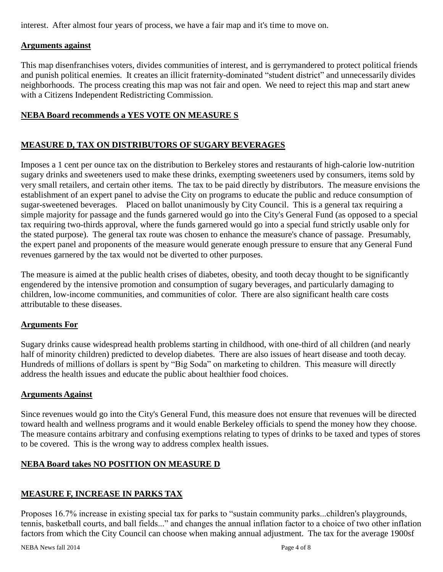interest. After almost four years of process, we have a fair map and it's time to move on.

#### **Arguments against**

This map disenfranchises voters, divides communities of interest, and is gerrymandered to protect political friends and punish political enemies. It creates an illicit fraternity-dominated "student district" and unnecessarily divides neighborhoods. The process creating this map was not fair and open. We need to reject this map and start anew with a Citizens Independent Redistricting Commission.

#### **NEBA Board recommends a YES VOTE ON MEASURE S**

#### **MEASURE D, TAX ON DISTRIBUTORS OF SUGARY BEVERAGES**

Imposes a 1 cent per ounce tax on the distribution to Berkeley stores and restaurants of high-calorie low-nutrition sugary drinks and sweeteners used to make these drinks, exempting sweeteners used by consumers, items sold by very small retailers, and certain other items. The tax to be paid directly by distributors. The measure envisions the establishment of an expert panel to advise the City on programs to educate the public and reduce consumption of sugar-sweetened beverages. Placed on ballot unanimously by City Council. This is a general tax requiring a simple majority for passage and the funds garnered would go into the City's General Fund (as opposed to a special tax requiring two-thirds approval, where the funds garnered would go into a special fund strictly usable only for the stated purpose). The general tax route was chosen to enhance the measure's chance of passage. Presumably, the expert panel and proponents of the measure would generate enough pressure to ensure that any General Fund revenues garnered by the tax would not be diverted to other purposes.

The measure is aimed at the public health crises of diabetes, obesity, and tooth decay thought to be significantly engendered by the intensive promotion and consumption of sugary beverages, and particularly damaging to children, low-income communities, and communities of color. There are also significant health care costs attributable to these diseases.

#### **Arguments For**

Sugary drinks cause widespread health problems starting in childhood, with one-third of all children (and nearly half of minority children) predicted to develop diabetes. There are also issues of heart disease and tooth decay. Hundreds of millions of dollars is spent by "Big Soda" on marketing to children. This measure will directly address the health issues and educate the public about healthier food choices.

#### **Arguments Against**

Since revenues would go into the City's General Fund, this measure does not ensure that revenues will be directed toward health and wellness programs and it would enable Berkeley officials to spend the money how they choose. The measure contains arbitrary and confusing exemptions relating to types of drinks to be taxed and types of stores to be covered. This is the wrong way to address complex health issues.

#### **NEBA Board takes NO POSITION ON MEASURE D**

#### **MEASURE F, INCREASE IN PARKS TAX**

Proposes 16.7% increase in existing special tax for parks to "sustain community parks...children's playgrounds, tennis, basketball courts, and ball fields..." and changes the annual inflation factor to a choice of two other inflation factors from which the City Council can choose when making annual adjustment. The tax for the average 1900sf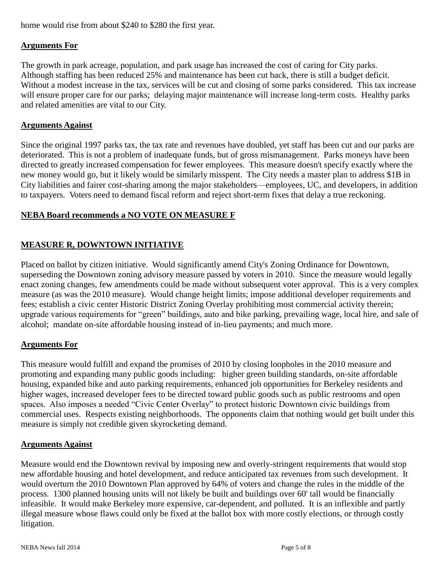home would rise from about \$240 to \$280 the first year.

#### **Arguments For**

The growth in park acreage, population, and park usage has increased the cost of caring for City parks. Although staffing has been reduced 25% and maintenance has been cut back, there is still a budget deficit. Without a modest increase in the tax, services will be cut and closing of some parks considered. This tax increase will ensure proper care for our parks; delaying major maintenance will increase long-term costs. Healthy parks and related amenities are vital to our City.

#### **Arguments Against**

Since the original 1997 parks tax, the tax rate and revenues have doubled, yet staff has been cut and our parks are deteriorated. This is not a problem of inadequate funds, but of gross mismanagement. Parks moneys have been directed to greatly increased compensation for fewer employees. This measure doesn't specify exactly where the new money would go, but it likely would be similarly misspent. The City needs a master plan to address \$1B in City liabilities and fairer cost-sharing among the major stakeholders—employees, UC, and developers, in addition to taxpayers. Voters need to demand fiscal reform and reject short-term fixes that delay a true reckoning.

#### **NEBA Board recommends a NO VOTE ON MEASURE F**

#### **MEASURE R, DOWNTOWN INITIATIVE**

Placed on ballot by citizen initiative. Would significantly amend City's Zoning Ordinance for Downtown, superseding the Downtown zoning advisory measure passed by voters in 2010. Since the measure would legally enact zoning changes, few amendments could be made without subsequent voter approval. This is a very complex measure (as was the 2010 measure). Would change height limits; impose additional developer requirements and fees; establish a civic center Historic District Zoning Overlay prohibiting most commercial activity therein; upgrade various requirements for "green" buildings, auto and bike parking, prevailing wage, local hire, and sale of alcohol; mandate on-site affordable housing instead of in-lieu payments; and much more.

#### **Arguments For**

This measure would fulfill and expand the promises of 2010 by closing loopholes in the 2010 measure and promoting and expanding many public goods including: higher green building standards, on-site affordable housing, expanded bike and auto parking requirements, enhanced job opportunities for Berkeley residents and higher wages, increased developer fees to be directed toward public goods such as public restrooms and open spaces. Also imposes a needed "Civic Center Overlay" to protect historic Downtown civic buildings from commercial uses. Respects existing neighborhoods. The opponents claim that nothing would get built under this measure is simply not credible given skyrocketing demand.

#### **Arguments Against**

Measure would end the Downtown revival by imposing new and overly-stringent requirements that would stop new affordable housing and hotel development, and reduce anticipated tax revenues from such development. It would overturn the 2010 Downtown Plan approved by 64% of voters and change the rules in the middle of the process. 1300 planned housing units will not likely be built and buildings over 60' tall would be financially infeasible. It would make Berkeley more expensive, car-dependent, and polluted. It is an inflexible and partly illegal measure whose flaws could only be fixed at the ballot box with more costly elections, or through costly litigation.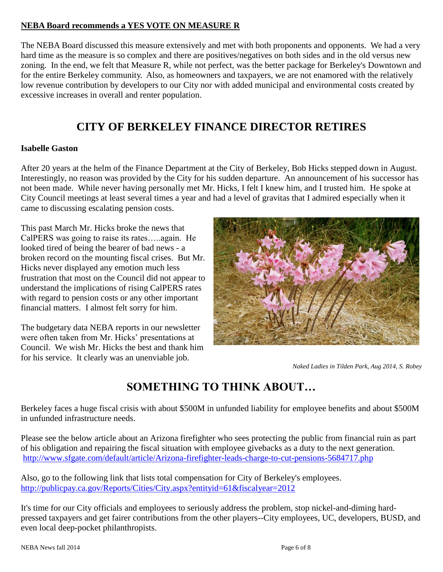#### **NEBA Board recommends a YES VOTE ON MEASURE R**

The NEBA Board discussed this measure extensively and met with both proponents and opponents. We had a very hard time as the measure is so complex and there are positives/negatives on both sides and in the old versus new zoning. In the end, we felt that Measure R, while not perfect, was the better package for Berkeley's Downtown and for the entire Berkeley community. Also, as homeowners and taxpayers, we are not enamored with the relatively low revenue contribution by developers to our City nor with added municipal and environmental costs created by excessive increases in overall and renter population.

### **CITY OF BERKELEY FINANCE DIRECTOR RETIRES**

#### **Isabelle Gaston**

After 20 years at the helm of the Finance Department at the City of Berkeley, Bob Hicks stepped down in August. Interestingly, no reason was provided by the City for his sudden departure. An announcement of his successor has not been made. While never having personally met Mr. Hicks, I felt I knew him, and I trusted him. He spoke at City Council meetings at least several times a year and had a level of gravitas that I admired especially when it came to discussing escalating pension costs.

This past March Mr. Hicks broke the news that CalPERS was going to raise its rates…..again. He looked tired of being the bearer of bad news - a broken record on the mounting fiscal crises. But Mr. Hicks never displayed any emotion much less frustration that most on the Council did not appear to understand the implications of rising CalPERS rates with regard to pension costs or any other important financial matters. I almost felt sorry for him.

The budgetary data NEBA reports in our newsletter were often taken from Mr. Hicks' presentations at Council. We wish Mr. Hicks the best and thank him for his service. It clearly was an unenviable job.



*Naked Ladies in Tilden Park, Aug 2014, S. Robey*

# **SOMETHING TO THINK ABOUT…**

Berkeley faces a huge fiscal crisis with about \$500M in unfunded liability for employee benefits and about \$500M in unfunded infrastructure needs.

Please see the below article about an Arizona firefighter who sees protecting the public from financial ruin as part of his obligation and repairing the fiscal situation with employee givebacks as a duty to the next generation. <http://www.sfgate.com/default/article/Arizona-firefighter-leads-charge-to-cut-pensions-5684717.php>

Also, go to the following link that lists total compensation for City of Berkeley's employees. <http://publicpay.ca.gov/Reports/Cities/City.aspx?entityid=61&fiscalyear=2012>

It's time for our City officials and employees to seriously address the problem, stop nickel-and-diming hardpressed taxpayers and get fairer contributions from the other players--City employees, UC, developers, BUSD, and even local deep-pocket philanthropists.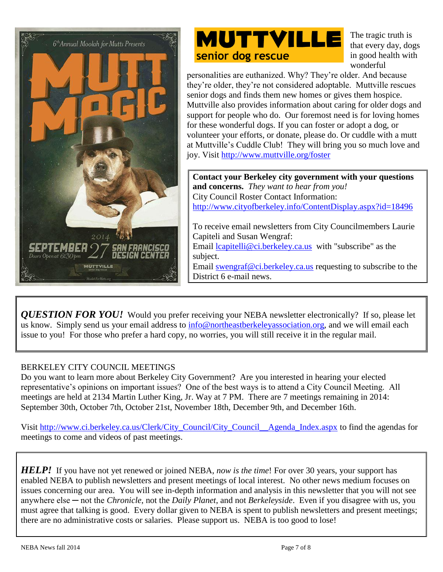



The tragic truth is that every day, dogs in good health with wonderful

personalities are euthanized. Why? They're older. And because they're older, they're not considered adoptable. Muttville rescues senior dogs and finds them new homes or gives them hospice. Muttville also provides information about caring for older dogs and support for people who do. Our foremost need is for loving homes for these wonderful dogs. If you can foster or adopt a dog, or volunteer your efforts, or donate, please do. Or cuddle with a mutt at Muttville's Cuddle Club! They will bring you so much love and joy. Visit<http://www.muttville.org/foster>

**Contact your Berkeley city government with your questions and concerns.** *They want to hear from you!* City Council Roster Contact Information: <http://www.cityofberkeley.info/ContentDisplay.aspx?id=18496>

To receive email newsletters from City Councilmembers Laurie Capiteli and Susan Wengraf: Email [lcapitelli@ci.berkeley.ca.us](mailto:lcapitelli@ci.berkeley.ca.us) with "subscribe" as the subject. Email [swengraf@ci.berkeley.ca.us](mailto:swengraf@ci.berkeley.ca.us) requesting to subscribe to the District 6 e-mail news.

*QUESTION FOR YOU!* Would you prefer receiving your NEBA newsletter electronically? If so, please let us know. Simply send us your email address to  $\frac{info@northeastberkeley association.org}{info@northeastberkeley association.org}$ , and we will email each issue to you! For those who prefer a hard copy, no worries, you will still receive it in the regular mail.

#### BERKELEY CITY COUNCIL MEETINGS

Do you want to learn more about Berkeley City Government? Are you interested in hearing your elected representative's opinions on important issues? One of the best ways is to attend a City Council Meeting. All meetings are held at 2134 Martin Luther King, Jr. Way at 7 PM. There are 7 meetings remaining in 2014: September 30th, October 7th, October 21st, November 18th, December 9th, and December 16th.

Visit [http://www.ci.berkeley.ca.us/Clerk/City\\_Council/City\\_Council\\_\\_Agenda\\_Index.aspx](http://www.ci.berkeley.ca.us/Clerk/City_Council/City_Council__Agenda_Index.aspx) to find the agendas for meetings to come and videos of past meetings.

*HELP!* If you have not yet renewed or joined NEBA, *now is the time*! For over 30 years, your support has enabled NEBA to publish newsletters and present meetings of local interest. No other news medium focuses on issues concerning our area. You will see in-depth information and analysis in this newsletter that you will not see anywhere else ─ not the *Chronicle*, not the *Daily Planet*, and not *Berkeleyside*. Even if you disagree with us, you must agree that talking is good. Every dollar given to NEBA is spent to publish newsletters and present meetings; there are no administrative costs or salaries. Please support us. NEBA is too good to lose!